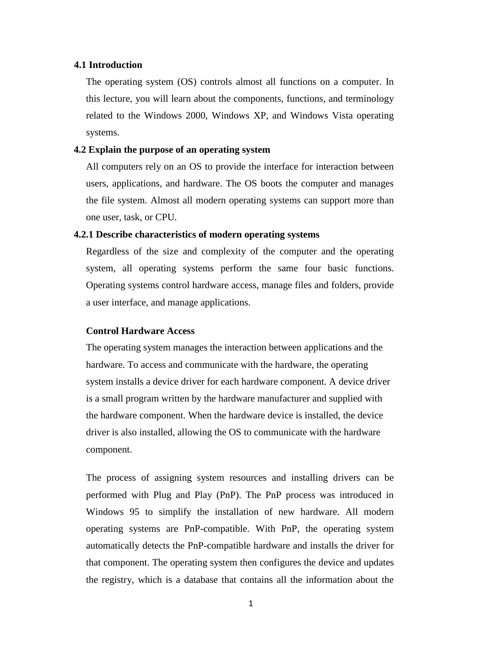### **4.1 Introduction**

The operating system (OS) controls almost all functions on a computer. In this lecture, you will learn about the components, functions, and terminology related to the Windows 2000, Windows XP, and Windows Vista operating systems.

### **4.2 Explain the purpose of an operating system**

All computers rely on an OS to provide the interface for interaction between users, applications, and hardware. The OS boots the computer and manages the file system. Almost all modern operating systems can support more than one user, task, or CPU.

### **4.2.1 Describe characteristics of modern operating systems**

Regardless of the size and complexity of the computer and the operating system, all operating systems perform the same four basic functions. Operating systems control hardware access, manage files and folders, provide a user interface, and manage applications.

#### **Control Hardware Access**

The operating system manages the interaction between applications and the hardware. To access and communicate with the hardware, the operating system installs a device driver for each hardware component. A device driver is a small program written by the hardware manufacturer and supplied with the hardware component. When the hardware device is installed, the device driver is also installed, allowing the OS to communicate with the hardware component.

The process of assigning system resources and installing drivers can be performed with Plug and Play (PnP). The PnP process was introduced in Windows 95 to simplify the installation of new hardware. All modern operating systems are PnP-compatible. With PnP, the operating system automatically detects the PnP-compatible hardware and installs the driver for that component. The operating system then configures the device and updates the registry, which is a database that contains all the information about the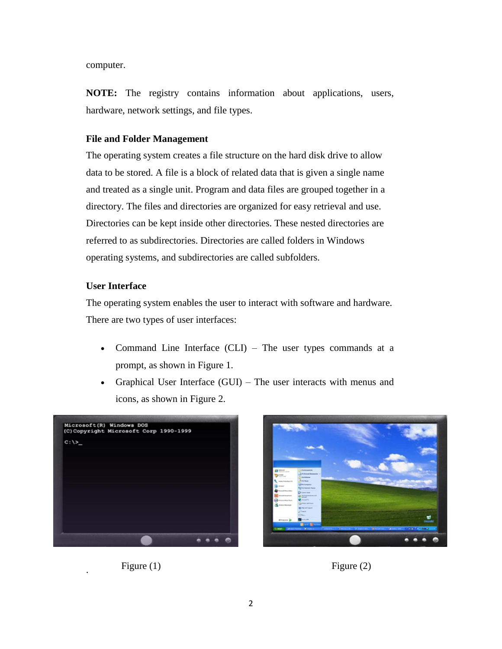computer.

**NOTE:** The registry contains information about applications, users, hardware, network settings, and file types.

### **File and Folder Management**

The operating system creates a file structure on the hard disk drive to allow data to be stored. A file is a block of related data that is given a single name and treated as a single unit. Program and data files are grouped together in a directory. The files and directories are organized for easy retrieval and use. Directories can be kept inside other directories. These nested directories are referred to as subdirectories. Directories are called folders in Windows operating systems, and subdirectories are called subfolders.

# **User Interface**

The operating system enables the user to interact with software and hardware. There are two types of user interfaces:

- Command Line Interface (CLI) The user types commands at a prompt, as shown in Figure 1.
- Graphical User Interface (GUI) The user interacts with menus and icons, as shown in Figure 2.





Figure (1) Figure (2)

.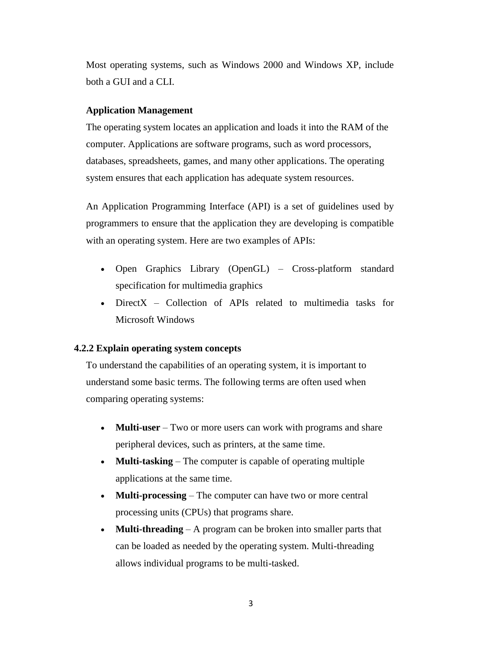Most operating systems, such as Windows 2000 and Windows XP, include both a GUI and a CLI.

### **Application Management**

The operating system locates an application and loads it into the RAM of the computer. Applications are software programs, such as word processors, databases, spreadsheets, games, and many other applications. The operating system ensures that each application has adequate system resources.

An Application Programming Interface (API) is a set of guidelines used by programmers to ensure that the application they are developing is compatible with an operating system. Here are two examples of APIs:

- Open Graphics Library (OpenGL) Cross-platform standard specification for multimedia graphics
- DirectX Collection of APIs related to multimedia tasks for Microsoft Windows

### **4.2.2 Explain operating system concepts**

To understand the capabilities of an operating system, it is important to understand some basic terms. The following terms are often used when comparing operating systems:

- **Multi-user** Two or more users can work with programs and share peripheral devices, such as printers, at the same time.
- **Multi-tasking** The computer is capable of operating multiple applications at the same time.
- **Multi-processing** The computer can have two or more central processing units (CPUs) that programs share.
- **Multi-threading** A program can be broken into smaller parts that can be loaded as needed by the operating system. Multi-threading allows individual programs to be multi-tasked.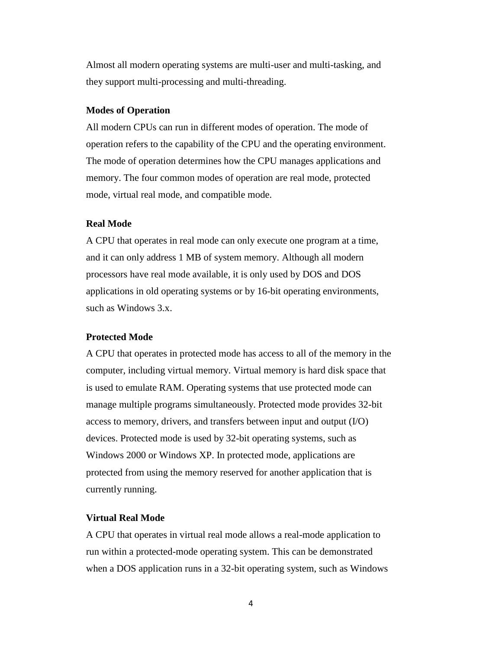Almost all modern operating systems are multi-user and multi-tasking, and they support multi-processing and multi-threading.

#### **Modes of Operation**

All modern CPUs can run in different modes of operation. The mode of operation refers to the capability of the CPU and the operating environment. The mode of operation determines how the CPU manages applications and memory. The four common modes of operation are real mode, protected mode, virtual real mode, and compatible mode.

#### **Real Mode**

A CPU that operates in real mode can only execute one program at a time, and it can only address 1 MB of system memory. Although all modern processors have real mode available, it is only used by DOS and DOS applications in old operating systems or by 16-bit operating environments, such as Windows 3.x.

#### **Protected Mode**

A CPU that operates in protected mode has access to all of the memory in the computer, including virtual memory. Virtual memory is hard disk space that is used to emulate RAM. Operating systems that use protected mode can manage multiple programs simultaneously. Protected mode provides 32-bit access to memory, drivers, and transfers between input and output (I/O) devices. Protected mode is used by 32-bit operating systems, such as Windows 2000 or Windows XP. In protected mode, applications are protected from using the memory reserved for another application that is currently running.

## **Virtual Real Mode**

A CPU that operates in virtual real mode allows a real-mode application to run within a protected-mode operating system. This can be demonstrated when a DOS application runs in a 32-bit operating system, such as Windows

4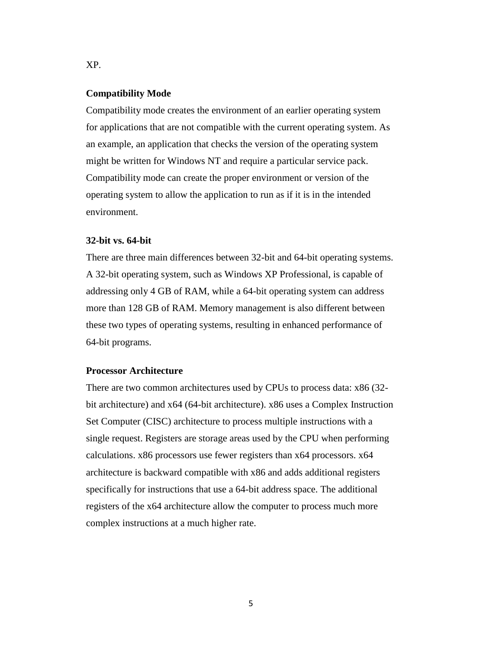#### **Compatibility Mode**

Compatibility mode creates the environment of an earlier operating system for applications that are not compatible with the current operating system. As an example, an application that checks the version of the operating system might be written for Windows NT and require a particular service pack. Compatibility mode can create the proper environment or version of the operating system to allow the application to run as if it is in the intended environment.

### **32-bit vs. 64-bit**

There are three main differences between 32-bit and 64-bit operating systems. A 32-bit operating system, such as Windows XP Professional, is capable of addressing only 4 GB of RAM, while a 64-bit operating system can address more than 128 GB of RAM. Memory management is also different between these two types of operating systems, resulting in enhanced performance of 64-bit programs.

### **Processor Architecture**

There are two common architectures used by CPUs to process data: x86 (32 bit architecture) and x64 (64-bit architecture). x86 uses a Complex Instruction Set Computer (CISC) architecture to process multiple instructions with a single request. Registers are storage areas used by the CPU when performing calculations. x86 processors use fewer registers than x64 processors. x64 architecture is backward compatible with x86 and adds additional registers specifically for instructions that use a 64-bit address space. The additional registers of the x64 architecture allow the computer to process much more complex instructions at a much higher rate.

XP.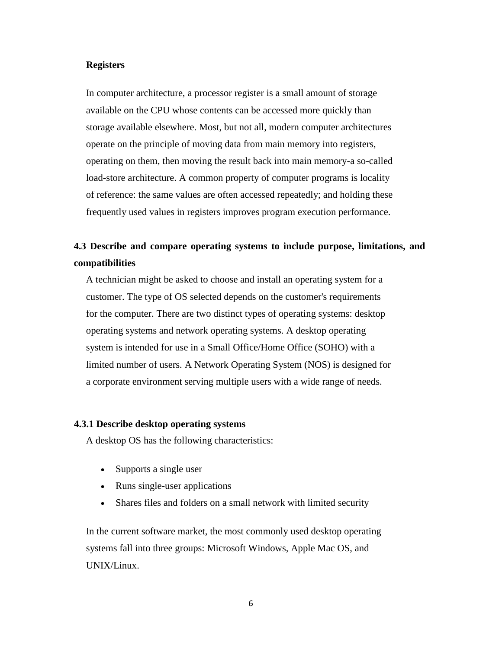#### **Registers**

In computer architecture, a processor register is a small amount of storage available on the CPU whose contents can be accessed more quickly than storage available elsewhere. Most, but not all, modern computer architectures operate on the principle of moving data from main memory into registers, operating on them, then moving the result back into main memory-a so-called load-store architecture. A common property of computer programs is locality of reference: the same values are often accessed repeatedly; and holding these frequently used values in registers improves program execution performance.

# **4.3 Describe and compare operating systems to include purpose, limitations, and compatibilities**

A technician might be asked to choose and install an operating system for a customer. The type of OS selected depends on the customer's requirements for the computer. There are two distinct types of operating systems: desktop operating systems and network operating systems. A desktop operating system is intended for use in a Small Office/Home Office (SOHO) with a limited number of users. A Network Operating System (NOS) is designed for a corporate environment serving multiple users with a wide range of needs.

### **4.3.1 Describe desktop operating systems**

A desktop OS has the following characteristics:

- Supports a single user
- Runs single-user applications
- Shares files and folders on a small network with limited security

In the current software market, the most commonly used desktop operating systems fall into three groups: Microsoft Windows, Apple Mac OS, and UNIX/Linux.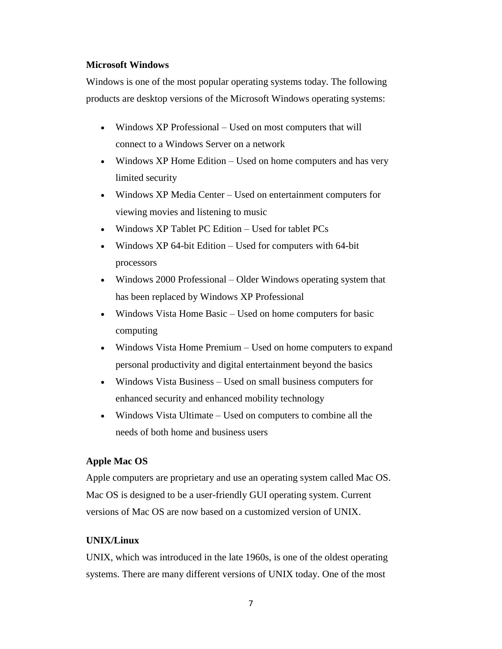# **Microsoft Windows**

Windows is one of the most popular operating systems today. The following products are desktop versions of the Microsoft Windows operating systems:

- Windows XP Professional Used on most computers that will connect to a Windows Server on a network
- Windows XP Home Edition Used on home computers and has very limited security
- Windows XP Media Center Used on entertainment computers for viewing movies and listening to music
- Windows XP Tablet PC Edition Used for tablet PCs
- Windows XP 64-bit Edition Used for computers with 64-bit processors
- Windows 2000 Professional Older Windows operating system that has been replaced by Windows XP Professional
- Windows Vista Home Basic Used on home computers for basic computing
- Windows Vista Home Premium Used on home computers to expand personal productivity and digital entertainment beyond the basics
- Windows Vista Business Used on small business computers for enhanced security and enhanced mobility technology
- Windows Vista Ultimate Used on computers to combine all the needs of both home and business users

# **Apple Mac OS**

Apple computers are proprietary and use an operating system called Mac OS. Mac OS is designed to be a user-friendly GUI operating system. Current versions of Mac OS are now based on a customized version of UNIX.

# **UNIX/Linux**

UNIX, which was introduced in the late 1960s, is one of the oldest operating systems. There are many different versions of UNIX today. One of the most